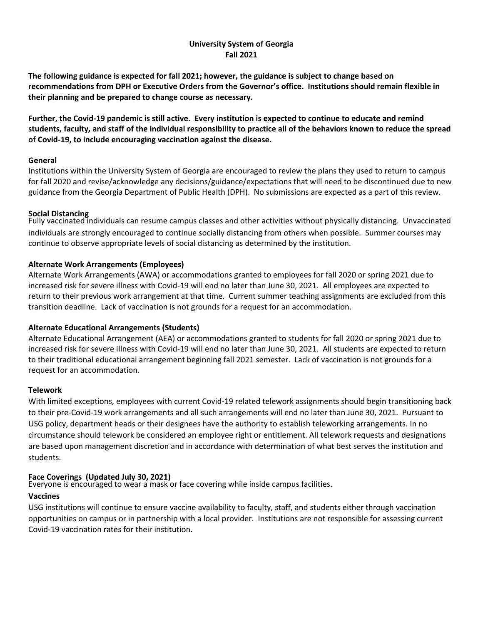## **University System of Georgia Fall 2021**

**The following guidance is expected for fall 2021; however, the guidance is subject to change based on recommendations from DPH or Executive Orders from the Governor's office. Institutions should remain flexible in their planning and be prepared to change course as necessary.**

**Further, the Covid-19 pandemic is still active. Every institution is expected to continue to educate and remind students, faculty, and staff of the individual responsibility to practice all of the behaviors known to reduce the spread of Covid-19, to include encouraging vaccination against the disease.**

#### **General**

Institutions within the University System of Georgia are encouraged to review the plans they used to return to campus for fall 2020 and revise/acknowledge any decisions/guidance/expectations that will need to be discontinued due to new guidance from the Georgia Department of Public Health (DPH). No submissions are expected as a part of this review.

## **Social Distancing**

Fully vaccinated individuals can resume campus classes and other activities without physically distancing. Unvaccinated individuals are strongly encouraged to continue socially distancing from others when possible. Summer courses may continue to observe appropriate levels of social distancing as determined by the institution.

# **Alternate Work Arrangements (Employees)**

Alternate Work Arrangements (AWA) or accommodations granted to employees for fall 2020 or spring 2021 due to increased risk for severe illness with Covid-19 will end no later than June 30, 2021. All employees are expected to return to their previous work arrangement at that time. Current summer teaching assignments are excluded from this transition deadline. Lack of vaccination is not grounds for a request for an accommodation.

# **Alternate Educational Arrangements (Students)**

Alternate Educational Arrangement (AEA) or accommodations granted to students for fall 2020 or spring 2021 due to increased risk for severe illness with Covid-19 will end no later than June 30, 2021. All students are expected to return to their traditional educational arrangement beginning fall 2021 semester. Lack of vaccination is not grounds for a request for an accommodation.

#### **Telework**

With limited exceptions, employees with current Covid-19 related telework assignments should begin transitioning back to their pre-Covid-19 work arrangements and all such arrangements will end no later than June 30, 2021. Pursuant to USG policy, department heads or their designees have the authority to establish teleworking arrangements. In no circumstance should telework be considered an employee right or entitlement. All telework requests and designations are based upon management discretion and in accordance with determination of what best serves the institution and students.

#### **Face Coverings (Updated July 30, 2021)**

Everyone is encouraged to wear a mask or face covering while inside campus facilities.

#### **Vaccines**

USG institutions will continue to ensure vaccine availability to faculty, staff, and students either through vaccination opportunities on campus or in partnership with a local provider. Institutions are not responsible for assessing current Covid-19 vaccination rates for their institution.